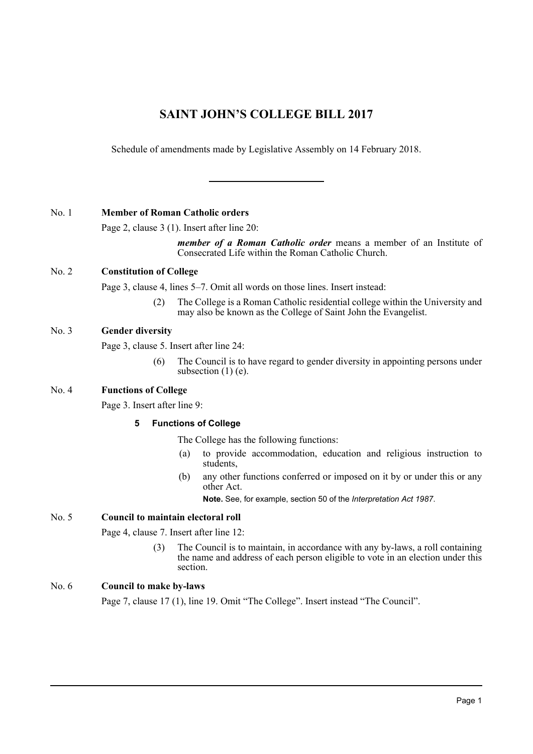# **SAINT JOHN'S COLLEGE BILL 2017**

Schedule of amendments made by Legislative Assembly on 14 February 2018.

## No. 1 **Member of Roman Catholic orders**

Page 2, clause 3 (1). Insert after line 20:

*member of a Roman Catholic order* means a member of an Institute of Consecrated Life within the Roman Catholic Church.

# No. 2 **Constitution of College**

Page 3, clause 4, lines 5–7. Omit all words on those lines. Insert instead:

(2) The College is a Roman Catholic residential college within the University and may also be known as the College of Saint John the Evangelist.

# No. 3 **Gender diversity**

Page 3, clause 5. Insert after line 24:

(6) The Council is to have regard to gender diversity in appointing persons under subsection  $(1)$  (e).

# No. 4 **Functions of College**

Page 3. Insert after line 9:

## **5 Functions of College**

The College has the following functions:

- (a) to provide accommodation, education and religious instruction to students,
- (b) any other functions conferred or imposed on it by or under this or any other Act.

**Note.** See, for example, section 50 of the *Interpretation Act 1987*.

## No. 5 **Council to maintain electoral roll**

Page 4, clause 7. Insert after line 12:

(3) The Council is to maintain, in accordance with any by-laws, a roll containing the name and address of each person eligible to vote in an election under this section.

# No. 6 **Council to make by-laws**

Page 7, clause 17 (1), line 19. Omit "The College". Insert instead "The Council".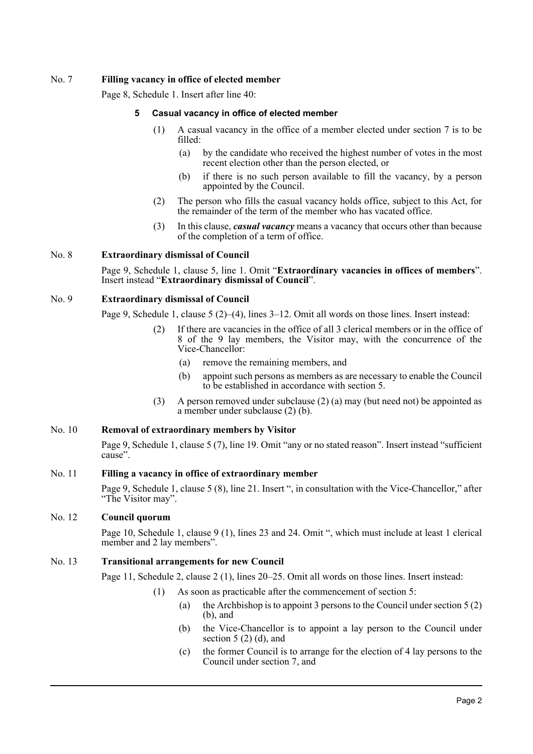## No. 7 **Filling vacancy in office of elected member**

Page 8, Schedule 1. Insert after line 40:

#### **5 Casual vacancy in office of elected member**

- (1) A casual vacancy in the office of a member elected under section 7 is to be filled:
	- (a) by the candidate who received the highest number of votes in the most recent election other than the person elected, or
	- (b) if there is no such person available to fill the vacancy, by a person appointed by the Council.
- (2) The person who fills the casual vacancy holds office, subject to this Act, for the remainder of the term of the member who has vacated office.
- (3) In this clause, *casual vacancy* means a vacancy that occurs other than because of the completion of a term of office.

#### No. 8 **Extraordinary dismissal of Council**

Page 9, Schedule 1, clause 5, line 1. Omit "**Extraordinary vacancies in offices of members**". Insert instead "**Extraordinary dismissal of Council**".

#### No. 9 **Extraordinary dismissal of Council**

Page 9, Schedule 1, clause 5 (2)–(4), lines 3–12. Omit all words on those lines. Insert instead:

- If there are vacancies in the office of all 3 clerical members or in the office of 8 of the 9 lay members, the Visitor may, with the concurrence of the Vice-Chancellor:
	- (a) remove the remaining members, and
	- (b) appoint such persons as members as are necessary to enable the Council to be established in accordance with section 5.
- (3) A person removed under subclause (2) (a) may (but need not) be appointed as a member under subclause (2) (b).

## No. 10 **Removal of extraordinary members by Visitor**

Page 9, Schedule 1, clause 5 (7), line 19. Omit "any or no stated reason". Insert instead "sufficient cause".

#### No. 11 **Filling a vacancy in office of extraordinary member**

Page 9, Schedule 1, clause 5 (8), line 21. Insert ", in consultation with the Vice-Chancellor," after "The Visitor may".

## No. 12 **Council quorum**

Page 10, Schedule 1, clause 9 (1), lines 23 and 24. Omit ", which must include at least 1 clerical member and 2 lay members".

#### No. 13 **Transitional arrangements for new Council**

Page 11, Schedule 2, clause 2 (1), lines 20–25. Omit all words on those lines. Insert instead:

- (1) As soon as practicable after the commencement of section 5:
	- (a) the Archbishop is to appoint 3 persons to the Council under section  $5(2)$ (b), and
	- (b) the Vice-Chancellor is to appoint a lay person to the Council under section  $5(2)$  (d), and
	- (c) the former Council is to arrange for the election of 4 lay persons to the Council under section 7, and